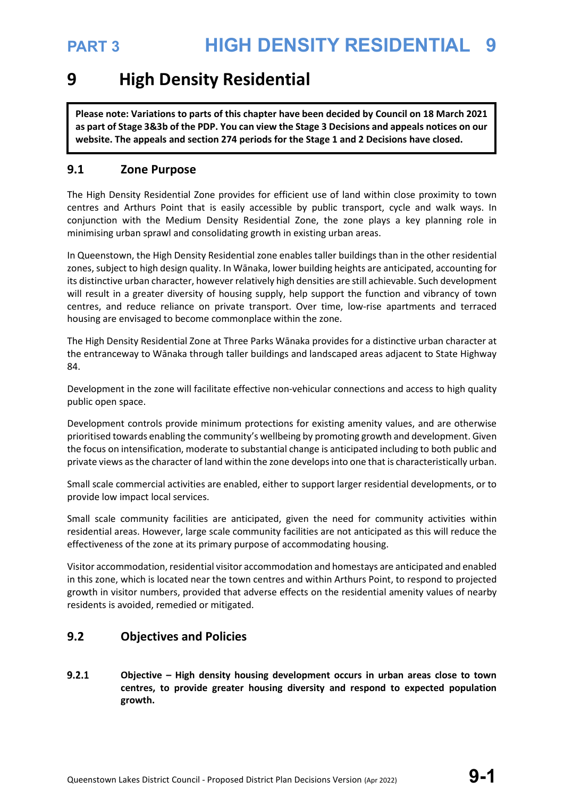## **9 High Density Residential**

**Please note: Variations to parts of this chapter have been decided by Council on 18 March 2021 as part of Stage 3&3b of the PDP. You can view the Stage 3 Decisions and appeals notices on our website. The appeals and section 274 periods for the Stage 1 and 2 Decisions have closed.**

### **9.1 Zone Purpose**

The High Density Residential Zone provides for efficient use of land within close proximity to town centres and Arthurs Point that is easily accessible by public transport, cycle and walk ways. In conjunction with the Medium Density Residential Zone, the zone plays a key planning role in minimising urban sprawl and consolidating growth in existing urban areas.

In Queenstown, the High Density Residential zone enables taller buildings than in the other residential zones, subject to high design quality. In Wānaka, lower building heights are anticipated, accounting for its distinctive urban character, however relatively high densities are still achievable. Such development will result in a greater diversity of housing supply, help support the function and vibrancy of town centres, and reduce reliance on private transport. Over time, low-rise apartments and terraced housing are envisaged to become commonplace within the zone.

The High Density Residential Zone at Three Parks Wānaka provides for a distinctive urban character at the entranceway to Wānaka through taller buildings and landscaped areas adjacent to State Highway 84.

Development in the zone will facilitate effective non-vehicular connections and access to high quality public open space.

Development controls provide minimum protections for existing amenity values, and are otherwise prioritised towards enabling the community's wellbeing by promoting growth and development. Given the focus on intensification, moderate to substantial change is anticipated including to both public and private views as the character of land within the zone develops into one that is characteristically urban.

Small scale commercial activities are enabled, either to support larger residential developments, or to provide low impact local services.

Small scale community facilities are anticipated, given the need for community activities within residential areas. However, large scale community facilities are not anticipated as this will reduce the effectiveness of the zone at its primary purpose of accommodating housing.

Visitor accommodation, residential visitor accommodation and homestays are anticipated and enabled in this zone, which is located near the town centres and within Arthurs Point, to respond to projected growth in visitor numbers, provided that adverse effects on the residential amenity values of nearby residents is avoided, remedied or mitigated.

### **9.2 Objectives and Policies**

 $9.2.1$ **Objective – High density housing development occurs in urban areas close to town centres, to provide greater housing diversity and respond to expected population growth.**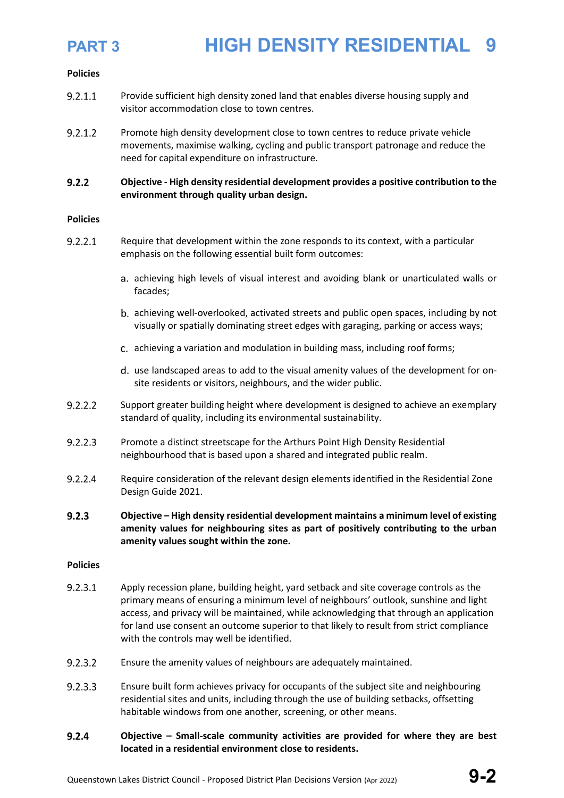### **Policies**

- $9.2.1.1$ Provide sufficient high density zoned land that enables diverse housing supply and visitor accommodation close to town centres.
- $9.2.1.2$ Promote high density development close to town centres to reduce private vehicle movements, maximise walking, cycling and public transport patronage and reduce the need for capital expenditure on infrastructure.
- $9.2.2$ **Objective - High density residential development provides a positive contribution to the environment through quality urban design.**

### **Policies**

- $9.2.2.1$ Require that development within the zone responds to its context, with a particular emphasis on the following essential built form outcomes:
	- achieving high levels of visual interest and avoiding blank or unarticulated walls or facades;
	- achieving well-overlooked, activated streets and public open spaces, including by not visually or spatially dominating street edges with garaging, parking or access ways;
	- achieving a variation and modulation in building mass, including roof forms;
	- d. use landscaped areas to add to the visual amenity values of the development for onsite residents or visitors, neighbours, and the wider public.
- $9.2.2.2$ Support greater building height where development is designed to achieve an exemplary standard of quality, including its environmental sustainability.
- $9.2.2.3$ Promote a distinct streetscape for the Arthurs Point High Density Residential neighbourhood that is based upon a shared and integrated public realm.
- $9.2.2.4$ Require consideration of the relevant design elements identified in the Residential Zone Design Guide 2021.
- $9.2.3$ **Objective – High density residential development maintains a minimum level of existing amenity values for neighbouring sites as part of positively contributing to the urban amenity values sought within the zone.**

### **Policies**

- $9.2.3.1$ Apply recession plane, building height, yard setback and site coverage controls as the primary means of ensuring a minimum level of neighbours' outlook, sunshine and light access, and privacy will be maintained, while acknowledging that through an application for land use consent an outcome superior to that likely to result from strict compliance with the controls may well be identified.
- $9.2.3.2$ Ensure the amenity values of neighbours are adequately maintained.
- $9.2.3.3$ Ensure built form achieves privacy for occupants of the subject site and neighbouring residential sites and units, including through the use of building setbacks, offsetting habitable windows from one another, screening, or other means.
- **Objective – Small-scale community activities are provided for where they are best**   $9.2.4$ **located in a residential environment close to residents.**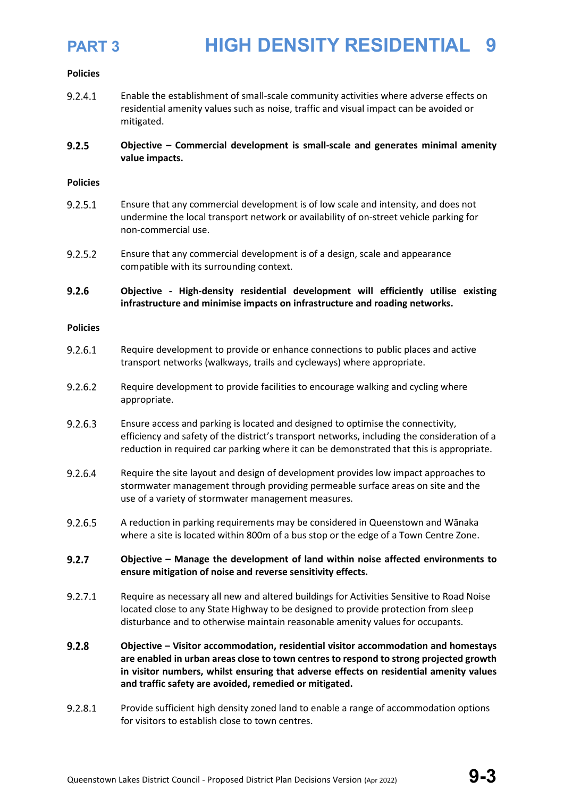

### **Policies**

 $9.2.4.1$ Enable the establishment of small-scale community activities where adverse effects on residential amenity values such as noise, traffic and visual impact can be avoided or mitigated.

### $9.2.5$ **Objective – Commercial development is small-scale and generates minimal amenity value impacts.**

### **Policies**

- $9.2.5.1$ Ensure that any commercial development is of low scale and intensity, and does not undermine the local transport network or availability of on-street vehicle parking for non-commercial use.
- $9.2.5.2$ Ensure that any commercial development is of a design, scale and appearance compatible with its surrounding context.

### $9.2.6$ **Objective - High-density residential development will efficiently utilise existing infrastructure and minimise impacts on infrastructure and roading networks.**

### **Policies**

- $9.2.6.1$ Require development to provide or enhance connections to public places and active transport networks (walkways, trails and cycleways) where appropriate.
- $9.2.6.2$ Require development to provide facilities to encourage walking and cycling where appropriate.
- 9.2.6.3 Ensure access and parking is located and designed to optimise the connectivity, efficiency and safety of the district's transport networks, including the consideration of a reduction in required car parking where it can be demonstrated that this is appropriate.
- 9.2.6.4 Require the site layout and design of development provides low impact approaches to stormwater management through providing permeable surface areas on site and the use of a variety of stormwater management measures.
- 9.2.6.5 A reduction in parking requirements may be considered in Queenstown and Wānaka where a site is located within 800m of a bus stop or the edge of a Town Centre Zone.
- $9.2.7$ **Objective – Manage the development of land within noise affected environments to ensure mitigation of noise and reverse sensitivity effects.**
- $9.2.7.1$ Require as necessary all new and altered buildings for Activities Sensitive to Road Noise located close to any State Highway to be designed to provide protection from sleep disturbance and to otherwise maintain reasonable amenity values for occupants.
- $9.2.8$ **Objective – Visitor accommodation, residential visitor accommodation and homestays are enabled in urban areas close to town centres to respond to strong projected growth in visitor numbers, whilst ensuring that adverse effects on residential amenity values and traffic safety are avoided, remedied or mitigated.**
- 9.2.8.1 Provide sufficient high density zoned land to enable a range of accommodation options for visitors to establish close to town centres.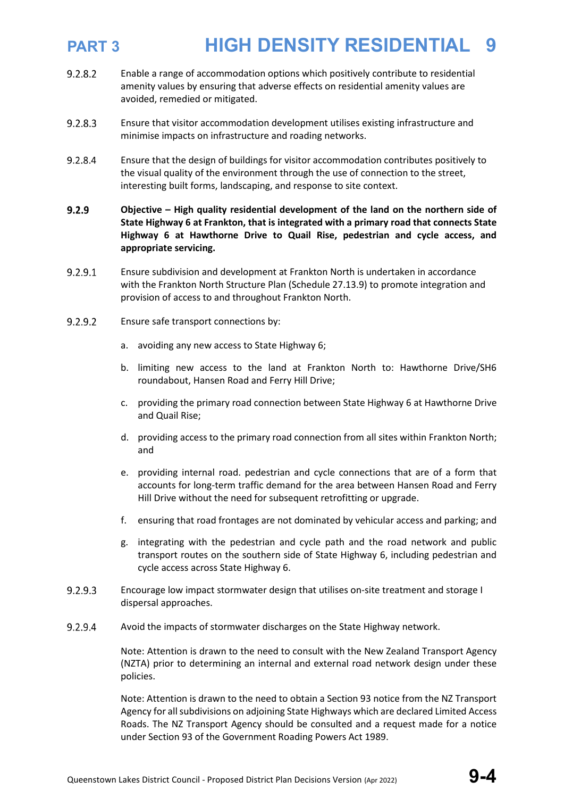- $9.2.8.2$ Enable a range of accommodation options which positively contribute to residential amenity values by ensuring that adverse effects on residential amenity values are avoided, remedied or mitigated.
- 9.2.8.3 Ensure that visitor accommodation development utilises existing infrastructure and minimise impacts on infrastructure and roading networks.
- 9.2.8.4 Ensure that the design of buildings for visitor accommodation contributes positively to the visual quality of the environment through the use of connection to the street, interesting built forms, landscaping, and response to site context.
- $9.2.9$ **Objective – High quality residential development of the land on the northern side of State Highway 6 at Frankton, that is integrated with a primary road that connects State Highway 6 at Hawthorne Drive to Quail Rise, pedestrian and cycle access, and appropriate servicing.**
- 9.2.9.1 Ensure subdivision and development at Frankton North is undertaken in accordance with the Frankton North Structure Plan (Schedule 27.13.9) to promote integration and provision of access to and throughout Frankton North.
- $9.2.9.2$ Ensure safe transport connections by:
	- a. avoiding any new access to State Highway 6;
	- b. limiting new access to the land at Frankton North to: Hawthorne Drive/SH6 roundabout, Hansen Road and Ferry Hill Drive;
	- c. providing the primary road connection between State Highway 6 at Hawthorne Drive and Quail Rise;
	- d. providing access to the primary road connection from all sites within Frankton North; and
	- e. providing internal road. pedestrian and cycle connections that are of a form that accounts for long-term traffic demand for the area between Hansen Road and Ferry Hill Drive without the need for subsequent retrofitting or upgrade.
	- f. ensuring that road frontages are not dominated by vehicular access and parking; and
	- g. integrating with the pedestrian and cycle path and the road network and public transport routes on the southern side of State Highway 6, including pedestrian and cycle access across State Highway 6.
- $9.2.9.3$ Encourage low impact stormwater design that utilises on-site treatment and storage I dispersal approaches.
- 9.2.9.4 Avoid the impacts of stormwater discharges on the State Highway network.

Note: Attention is drawn to the need to consult with the New Zealand Transport Agency (NZTA) prior to determining an internal and external road network design under these policies.

Note: Attention is drawn to the need to obtain a Section 93 notice from the NZ Transport Agency for all subdivisions on adjoining State Highways which are declared Limited Access Roads. The NZ Transport Agency should be consulted and a request made for a notice under Section 93 of the Government Roading Powers Act 1989.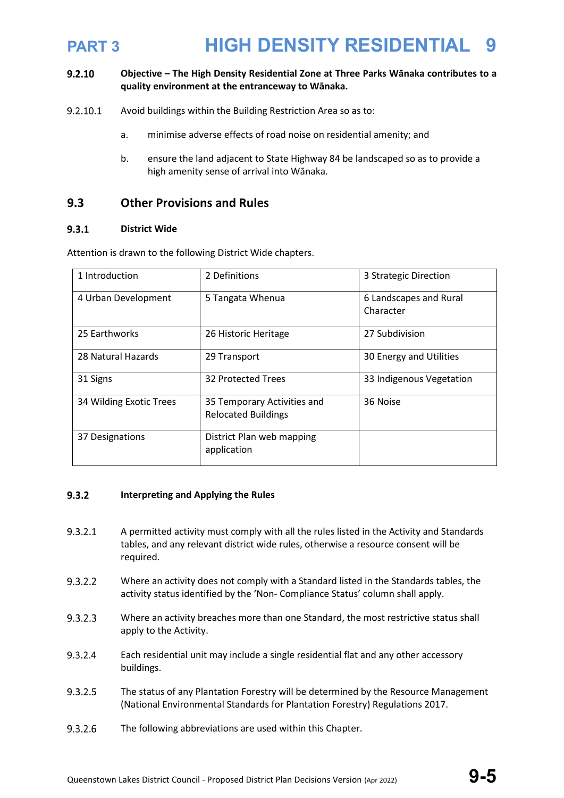### $9.2.10$ **Objective – The High Density Residential Zone at Three Parks Wānaka contributes to a quality environment at the entranceway to Wānaka.**

- $9.2.10.1$ Avoid buildings within the Building Restriction Area so as to:
	- a. minimise adverse effects of road noise on residential amenity; and
	- b. ensure the land adjacent to State Highway 84 be landscaped so as to provide a high amenity sense of arrival into Wānaka.

### **9.3 Other Provisions and Rules**

### $9.3.1$ **District Wide**

Attention is drawn to the following District Wide chapters.

| 1 Introduction          | 2 Definitions                                             | 3 Strategic Direction               |
|-------------------------|-----------------------------------------------------------|-------------------------------------|
| 4 Urban Development     | 5 Tangata Whenua                                          | 6 Landscapes and Rural<br>Character |
| 25 Earthworks           | 26 Historic Heritage                                      | 27 Subdivision                      |
| 28 Natural Hazards      | 29 Transport                                              | 30 Energy and Utilities             |
| 31 Signs                | 32 Protected Trees                                        | 33 Indigenous Vegetation            |
| 34 Wilding Exotic Trees | 35 Temporary Activities and<br><b>Relocated Buildings</b> | 36 Noise                            |
| 37 Designations         | District Plan web mapping<br>application                  |                                     |

### $9.3.2$ **Interpreting and Applying the Rules**

- $9.3.2.1$ A permitted activity must comply with all the rules listed in the Activity and Standards tables, and any relevant district wide rules, otherwise a resource consent will be required.
- $9.3.2.2$ Where an activity does not comply with a Standard listed in the Standards tables, the activity status identified by the 'Non- Compliance Status' column shall apply.
- $9.3.2.3$ Where an activity breaches more than one Standard, the most restrictive status shall apply to the Activity.
- 9.3.2.4 Each residential unit may include a single residential flat and any other accessory buildings.
- $9.3.2.5$ The status of any Plantation Forestry will be determined by the Resource Management (National Environmental Standards for Plantation Forestry) Regulations 2017.
- 9.3.2.6 The following abbreviations are used within this Chapter.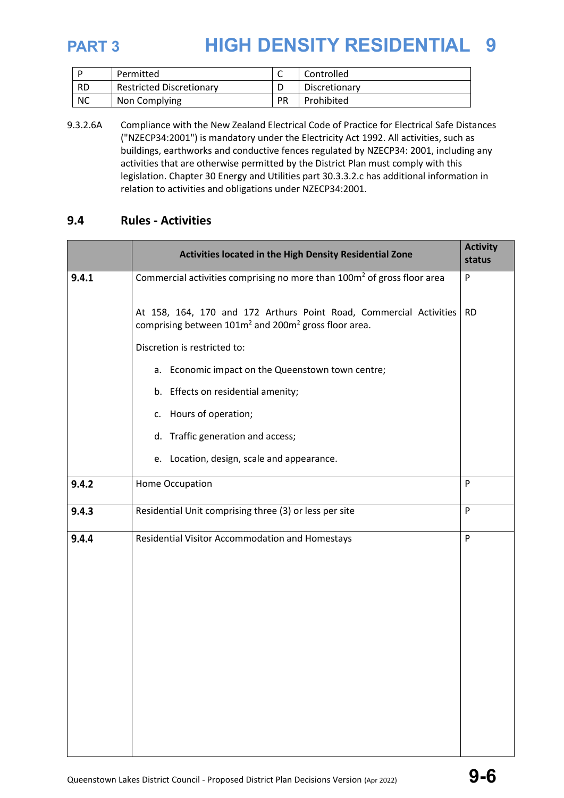|           | Permitted                       |    | Controlled    |
|-----------|---------------------------------|----|---------------|
| <b>RD</b> | <b>Restricted Discretionary</b> |    | Discretionary |
| <b>NC</b> | Non Complying                   | PR | Prohibited    |

9.3.2.6A Compliance with the New Zealand Electrical Code of Practice for Electrical Safe Distances ("NZECP34:2001") is mandatory under the Electricity Act 1992. All activities, such as buildings, earthworks and conductive fences regulated by NZECP34: 2001, including any activities that are otherwise permitted by the District Plan must comply with this legislation. Chapter 30 Energy and Utilities part 30.3.3.2.c has additional information in relation to activities and obligations under NZECP34:2001.

### **9.4 Rules - Activities**

|       | Activities located in the High Density Residential Zone                                                                                            | <b>Activity</b><br>status |
|-------|----------------------------------------------------------------------------------------------------------------------------------------------------|---------------------------|
| 9.4.1 | Commercial activities comprising no more than $100m2$ of gross floor area                                                                          | ${\sf P}$                 |
|       | At 158, 164, 170 and 172 Arthurs Point Road, Commercial Activities<br>comprising between 101m <sup>2</sup> and 200m <sup>2</sup> gross floor area. | <b>RD</b>                 |
|       | Discretion is restricted to:                                                                                                                       |                           |
|       | a. Economic impact on the Queenstown town centre;                                                                                                  |                           |
|       | b. Effects on residential amenity;                                                                                                                 |                           |
|       | c. Hours of operation;                                                                                                                             |                           |
|       | d. Traffic generation and access;                                                                                                                  |                           |
|       | e. Location, design, scale and appearance.                                                                                                         |                           |
| 9.4.2 | Home Occupation                                                                                                                                    | P                         |
| 9.4.3 | Residential Unit comprising three (3) or less per site                                                                                             | P                         |
| 9.4.4 | Residential Visitor Accommodation and Homestays                                                                                                    | P                         |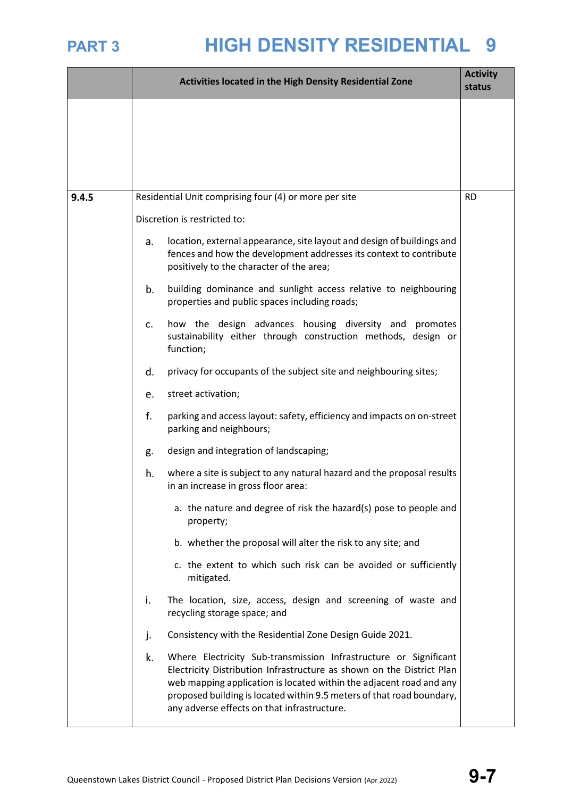|       |    | Activities located in the High Density Residential Zone                                                                                                                                                                                                                                                                                  | <b>Activity</b><br>status |
|-------|----|------------------------------------------------------------------------------------------------------------------------------------------------------------------------------------------------------------------------------------------------------------------------------------------------------------------------------------------|---------------------------|
|       |    |                                                                                                                                                                                                                                                                                                                                          |                           |
| 9.4.5 |    | Residential Unit comprising four (4) or more per site                                                                                                                                                                                                                                                                                    | <b>RD</b>                 |
|       |    | Discretion is restricted to:                                                                                                                                                                                                                                                                                                             |                           |
|       | a. | location, external appearance, site layout and design of buildings and<br>fences and how the development addresses its context to contribute<br>positively to the character of the area;                                                                                                                                                 |                           |
|       | b. | building dominance and sunlight access relative to neighbouring<br>properties and public spaces including roads;                                                                                                                                                                                                                         |                           |
|       | c. | how the design advances housing diversity and promotes<br>sustainability either through construction methods, design or<br>function;                                                                                                                                                                                                     |                           |
|       | d. | privacy for occupants of the subject site and neighbouring sites;                                                                                                                                                                                                                                                                        |                           |
|       | e. | street activation;                                                                                                                                                                                                                                                                                                                       |                           |
|       | f. | parking and access layout: safety, efficiency and impacts on on-street<br>parking and neighbours;                                                                                                                                                                                                                                        |                           |
|       | g. | design and integration of landscaping;                                                                                                                                                                                                                                                                                                   |                           |
|       | h. | where a site is subject to any natural hazard and the proposal results<br>in an increase in gross floor area:                                                                                                                                                                                                                            |                           |
|       |    | a. the nature and degree of risk the hazard(s) pose to people and<br>property;                                                                                                                                                                                                                                                           |                           |
|       |    | b. whether the proposal will alter the risk to any site; and                                                                                                                                                                                                                                                                             |                           |
|       |    | c. the extent to which such risk can be avoided or sufficiently<br>mitigated.                                                                                                                                                                                                                                                            |                           |
|       | i. | The location, size, access, design and screening of waste and<br>recycling storage space; and                                                                                                                                                                                                                                            |                           |
|       | j. | Consistency with the Residential Zone Design Guide 2021.                                                                                                                                                                                                                                                                                 |                           |
|       | k. | Where Electricity Sub-transmission Infrastructure or Significant<br>Electricity Distribution Infrastructure as shown on the District Plan<br>web mapping application is located within the adjacent road and any<br>proposed building is located within 9.5 meters of that road boundary,<br>any adverse effects on that infrastructure. |                           |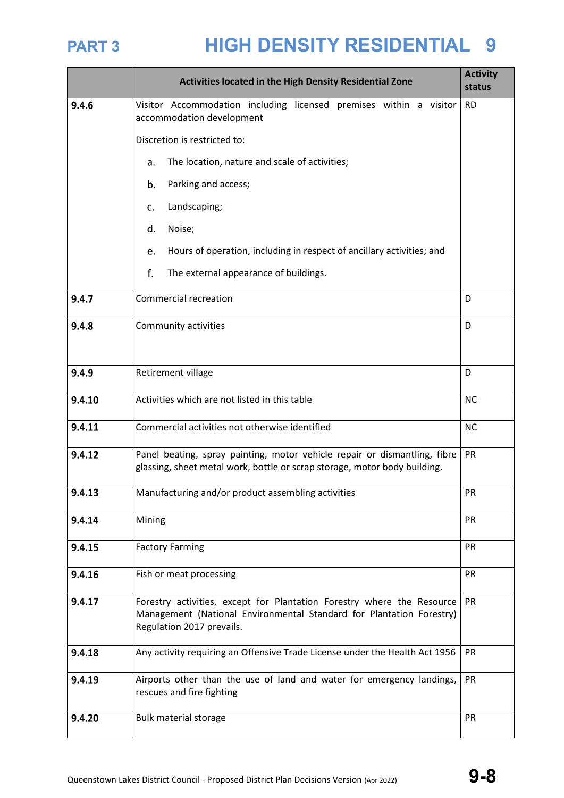|        | Activities located in the High Density Residential Zone                                                                                                                     | <b>Activity</b><br>status |
|--------|-----------------------------------------------------------------------------------------------------------------------------------------------------------------------------|---------------------------|
| 9.4.6  | Visitor Accommodation including licensed premises within a visitor<br>accommodation development                                                                             | <b>RD</b>                 |
|        | Discretion is restricted to:                                                                                                                                                |                           |
|        | The location, nature and scale of activities;<br>a.                                                                                                                         |                           |
|        | Parking and access;<br>b.                                                                                                                                                   |                           |
|        | Landscaping;<br>c.                                                                                                                                                          |                           |
|        | Noise;<br>d.                                                                                                                                                                |                           |
|        | Hours of operation, including in respect of ancillary activities; and<br>e.                                                                                                 |                           |
|        | f.<br>The external appearance of buildings.                                                                                                                                 |                           |
| 9.4.7  | <b>Commercial recreation</b>                                                                                                                                                | D                         |
| 9.4.8  | Community activities                                                                                                                                                        | D                         |
| 9.4.9  | Retirement village                                                                                                                                                          | D                         |
| 9.4.10 | Activities which are not listed in this table                                                                                                                               | <b>NC</b>                 |
| 9.4.11 | Commercial activities not otherwise identified                                                                                                                              | <b>NC</b>                 |
| 9.4.12 | Panel beating, spray painting, motor vehicle repair or dismantling, fibre<br>glassing, sheet metal work, bottle or scrap storage, motor body building.                      | PR                        |
| 9.4.13 | Manufacturing and/or product assembling activities                                                                                                                          | PR                        |
| 9.4.14 | Mining                                                                                                                                                                      | PR                        |
| 9.4.15 | <b>Factory Farming</b><br>PR                                                                                                                                                |                           |
| 9.4.16 | PR<br>Fish or meat processing                                                                                                                                               |                           |
| 9.4.17 | Forestry activities, except for Plantation Forestry where the Resource<br>Management (National Environmental Standard for Plantation Forestry)<br>Regulation 2017 prevails. | <b>PR</b>                 |
| 9.4.18 | Any activity requiring an Offensive Trade License under the Health Act 1956                                                                                                 | PR                        |
| 9.4.19 | Airports other than the use of land and water for emergency landings,<br>rescues and fire fighting                                                                          | PR                        |
| 9.4.20 | <b>Bulk material storage</b>                                                                                                                                                | PR                        |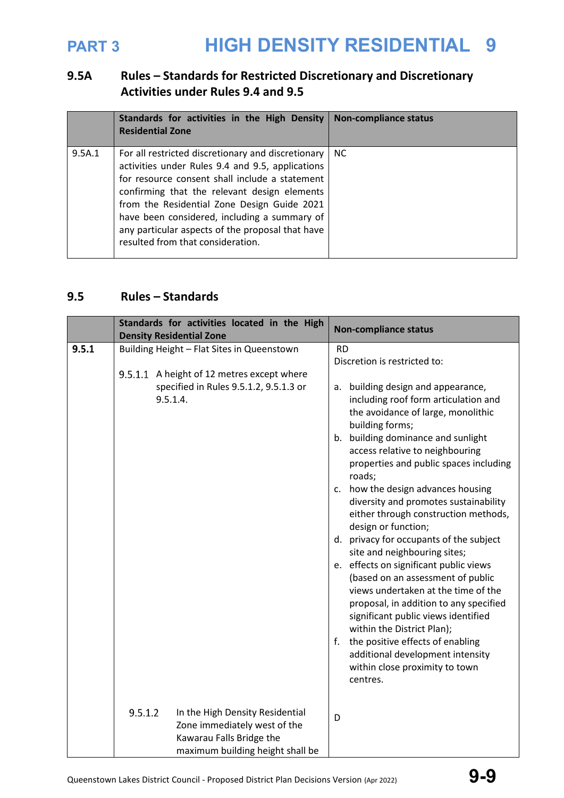## **9.5A Rules – Standards for Restricted Discretionary and Discretionary Activities under Rules 9.4 and 9.5**

|        | Standards for activities in the High Density<br><b>Residential Zone</b>                                                                                                                                                                                                                                                                                                                          | <b>Non-compliance status</b> |
|--------|--------------------------------------------------------------------------------------------------------------------------------------------------------------------------------------------------------------------------------------------------------------------------------------------------------------------------------------------------------------------------------------------------|------------------------------|
| 9.5A.1 | For all restricted discretionary and discretionary<br>activities under Rules 9.4 and 9.5, applications<br>for resource consent shall include a statement<br>confirming that the relevant design elements<br>from the Residential Zone Design Guide 2021<br>have been considered, including a summary of<br>any particular aspects of the proposal that have<br>resulted from that consideration. | NC.                          |

### **9.5 Rules – Standards**

|       | Standards for activities located in the High<br><b>Density Residential Zone</b>                                                            | <b>Non-compliance status</b>                                                                                                                                                                                                                                                                                                                                                                                      |
|-------|--------------------------------------------------------------------------------------------------------------------------------------------|-------------------------------------------------------------------------------------------------------------------------------------------------------------------------------------------------------------------------------------------------------------------------------------------------------------------------------------------------------------------------------------------------------------------|
| 9.5.1 | Building Height - Flat Sites in Queenstown                                                                                                 | <b>RD</b>                                                                                                                                                                                                                                                                                                                                                                                                         |
|       |                                                                                                                                            | Discretion is restricted to:                                                                                                                                                                                                                                                                                                                                                                                      |
|       | 9.5.1.1 A height of 12 metres except where                                                                                                 |                                                                                                                                                                                                                                                                                                                                                                                                                   |
|       | specified in Rules 9.5.1.2, 9.5.1.3 or<br>9.5.1.4.                                                                                         | a. building design and appearance,<br>including roof form articulation and<br>the avoidance of large, monolithic<br>building forms;<br>b. building dominance and sunlight<br>access relative to neighbouring<br>properties and public spaces including<br>roads;<br>how the design advances housing<br>c.<br>diversity and promotes sustainability<br>either through construction methods,<br>design or function; |
|       |                                                                                                                                            | d. privacy for occupants of the subject<br>site and neighbouring sites;                                                                                                                                                                                                                                                                                                                                           |
|       |                                                                                                                                            | e. effects on significant public views<br>(based on an assessment of public<br>views undertaken at the time of the<br>proposal, in addition to any specified<br>significant public views identified<br>within the District Plan);<br>the positive effects of enabling<br>f.<br>additional development intensity<br>within close proximity to town<br>centres.                                                     |
|       | 9.5.1.2<br>In the High Density Residential<br>Zone immediately west of the<br>Kawarau Falls Bridge the<br>maximum building height shall be | D                                                                                                                                                                                                                                                                                                                                                                                                                 |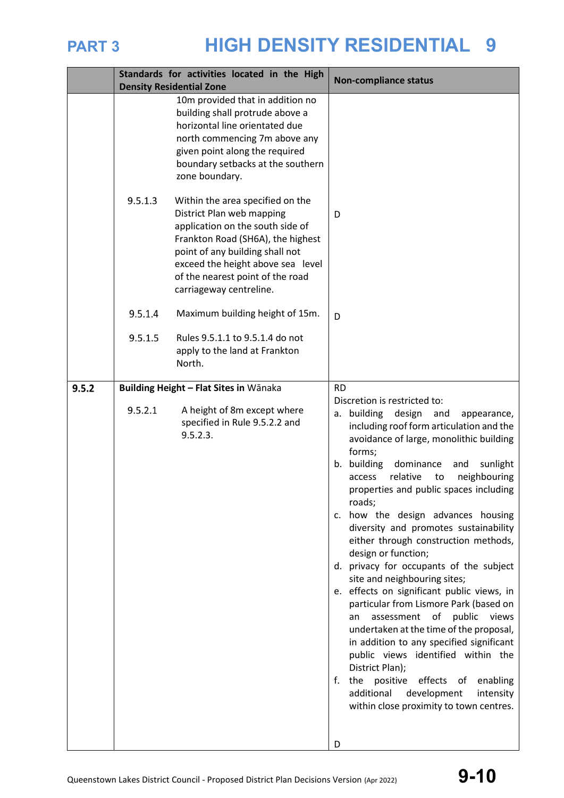|       |         | Standards for activities located in the High<br><b>Density Residential Zone</b>                                                                                                                                                                                               | <b>Non-compliance status</b>                                                                                                                                                                                                                                                                                                                                                                                                                                                                                                                                                                                                                                                                                                                                                                                                                                                                                                                                                           |
|-------|---------|-------------------------------------------------------------------------------------------------------------------------------------------------------------------------------------------------------------------------------------------------------------------------------|----------------------------------------------------------------------------------------------------------------------------------------------------------------------------------------------------------------------------------------------------------------------------------------------------------------------------------------------------------------------------------------------------------------------------------------------------------------------------------------------------------------------------------------------------------------------------------------------------------------------------------------------------------------------------------------------------------------------------------------------------------------------------------------------------------------------------------------------------------------------------------------------------------------------------------------------------------------------------------------|
|       |         | 10m provided that in addition no<br>building shall protrude above a<br>horizontal line orientated due<br>north commencing 7m above any<br>given point along the required<br>boundary setbacks at the southern<br>zone boundary.                                               |                                                                                                                                                                                                                                                                                                                                                                                                                                                                                                                                                                                                                                                                                                                                                                                                                                                                                                                                                                                        |
|       | 9.5.1.3 | Within the area specified on the<br>District Plan web mapping<br>application on the south side of<br>Frankton Road (SH6A), the highest<br>point of any building shall not<br>exceed the height above sea level<br>of the nearest point of the road<br>carriageway centreline. | D                                                                                                                                                                                                                                                                                                                                                                                                                                                                                                                                                                                                                                                                                                                                                                                                                                                                                                                                                                                      |
|       | 9.5.1.4 | Maximum building height of 15m.                                                                                                                                                                                                                                               | D                                                                                                                                                                                                                                                                                                                                                                                                                                                                                                                                                                                                                                                                                                                                                                                                                                                                                                                                                                                      |
|       | 9.5.1.5 | Rules 9.5.1.1 to 9.5.1.4 do not<br>apply to the land at Frankton<br>North.                                                                                                                                                                                                    |                                                                                                                                                                                                                                                                                                                                                                                                                                                                                                                                                                                                                                                                                                                                                                                                                                                                                                                                                                                        |
| 9.5.2 |         | Building Height - Flat Sites in Wānaka                                                                                                                                                                                                                                        | <b>RD</b>                                                                                                                                                                                                                                                                                                                                                                                                                                                                                                                                                                                                                                                                                                                                                                                                                                                                                                                                                                              |
|       | 9.5.2.1 | A height of 8m except where<br>specified in Rule 9.5.2.2 and<br>9.5.2.3.                                                                                                                                                                                                      | Discretion is restricted to:<br>design<br>a. building<br>and<br>appearance,<br>including roof form articulation and the<br>avoidance of large, monolithic building<br>forms;<br>b. building<br>dominance<br>sunlight<br>and<br>relative<br>neighbouring<br>access<br>to<br>properties and public spaces including<br>roads;<br>c. how the design advances housing<br>diversity and promotes sustainability<br>either through construction methods,<br>design or function;<br>d. privacy for occupants of the subject<br>site and neighbouring sites;<br>e. effects on significant public views, in<br>particular from Lismore Park (based on<br>assessment<br>of<br>public<br>views<br>an<br>undertaken at the time of the proposal,<br>in addition to any specified significant<br>public views identified within the<br>District Plan);<br>f.<br>the positive<br>effects<br>of<br>enabling<br>additional<br>development<br>intensity<br>within close proximity to town centres.<br>D |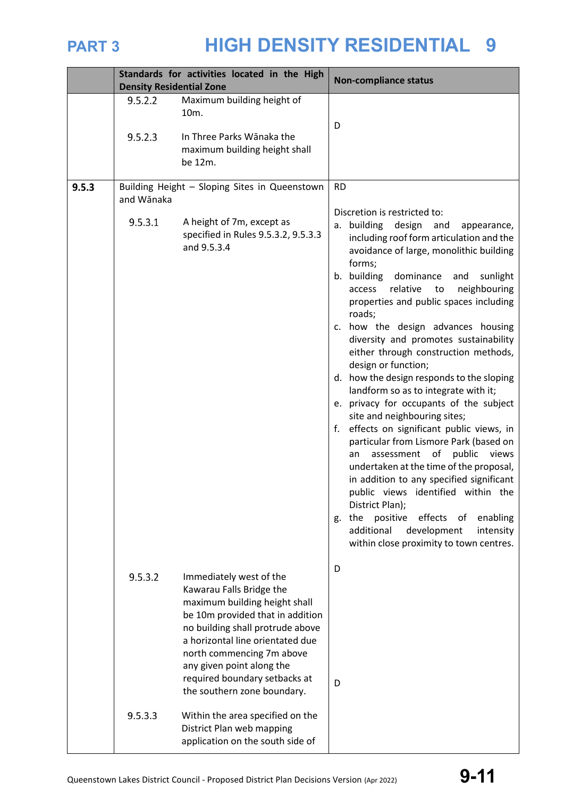|       | <b>Density Residential Zone</b> | Standards for activities located in the High                                                                                                                                                                                                                                                                                                                                                | <b>Non-compliance status</b>                                                                                                                                                                                                                                                                                                                                                                                                                                                                                                                                                                                                                                                                                                                                                                                                                                                                                                                                                                                                              |  |
|-------|---------------------------------|---------------------------------------------------------------------------------------------------------------------------------------------------------------------------------------------------------------------------------------------------------------------------------------------------------------------------------------------------------------------------------------------|-------------------------------------------------------------------------------------------------------------------------------------------------------------------------------------------------------------------------------------------------------------------------------------------------------------------------------------------------------------------------------------------------------------------------------------------------------------------------------------------------------------------------------------------------------------------------------------------------------------------------------------------------------------------------------------------------------------------------------------------------------------------------------------------------------------------------------------------------------------------------------------------------------------------------------------------------------------------------------------------------------------------------------------------|--|
|       | 9.5.2.2<br>9.5.2.3              | Maximum building height of<br>10m.<br>In Three Parks Wānaka the<br>maximum building height shall                                                                                                                                                                                                                                                                                            | D                                                                                                                                                                                                                                                                                                                                                                                                                                                                                                                                                                                                                                                                                                                                                                                                                                                                                                                                                                                                                                         |  |
|       |                                 | be 12m.                                                                                                                                                                                                                                                                                                                                                                                     |                                                                                                                                                                                                                                                                                                                                                                                                                                                                                                                                                                                                                                                                                                                                                                                                                                                                                                                                                                                                                                           |  |
| 9.5.3 | and Wānaka                      | Building Height - Sloping Sites in Queenstown                                                                                                                                                                                                                                                                                                                                               | <b>RD</b><br>Discretion is restricted to:                                                                                                                                                                                                                                                                                                                                                                                                                                                                                                                                                                                                                                                                                                                                                                                                                                                                                                                                                                                                 |  |
|       | 9.5.3.1                         | A height of 7m, except as<br>specified in Rules 9.5.3.2, 9.5.3.3<br>and 9.5.3.4                                                                                                                                                                                                                                                                                                             | a. building<br>design<br>and<br>appearance,<br>including roof form articulation and the<br>avoidance of large, monolithic building<br>forms;<br>b. building<br>dominance<br>and<br>sunlight<br>relative<br>neighbouring<br>access<br>to<br>properties and public spaces including<br>roads;<br>c. how the design advances housing<br>diversity and promotes sustainability<br>either through construction methods,<br>design or function;<br>d. how the design responds to the sloping<br>landform so as to integrate with it;<br>e. privacy for occupants of the subject<br>site and neighbouring sites;<br>f. effects on significant public views, in<br>particular from Lismore Park (based on<br>assessment<br>of<br>public<br>views<br>an<br>undertaken at the time of the proposal,<br>in addition to any specified significant<br>public views identified within the<br>District Plan);<br>effects<br>the<br>positive<br>of<br>enabling<br>g.<br>additional<br>development<br>intensity<br>within close proximity to town centres. |  |
|       | 9.5.3.2<br>9.5.3.3              | Immediately west of the<br>Kawarau Falls Bridge the<br>maximum building height shall<br>be 10m provided that in addition<br>no building shall protrude above<br>a horizontal line orientated due<br>north commencing 7m above<br>any given point along the<br>required boundary setbacks at<br>the southern zone boundary.<br>Within the area specified on the<br>District Plan web mapping | D<br>D                                                                                                                                                                                                                                                                                                                                                                                                                                                                                                                                                                                                                                                                                                                                                                                                                                                                                                                                                                                                                                    |  |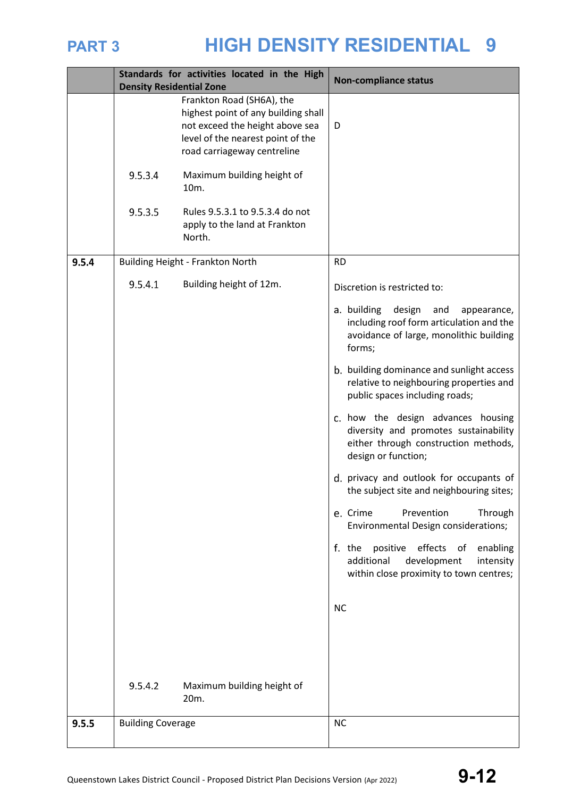

|       | <b>Density Residential Zone</b> | Standards for activities located in the High                                                                                                                            | <b>Non-compliance status</b>                                                                                                               |  |
|-------|---------------------------------|-------------------------------------------------------------------------------------------------------------------------------------------------------------------------|--------------------------------------------------------------------------------------------------------------------------------------------|--|
|       |                                 | Frankton Road (SH6A), the<br>highest point of any building shall<br>not exceed the height above sea<br>level of the nearest point of the<br>road carriageway centreline | D                                                                                                                                          |  |
|       | 9.5.3.4                         | Maximum building height of<br>10m.                                                                                                                                      |                                                                                                                                            |  |
|       | 9.5.3.5                         | Rules 9.5.3.1 to 9.5.3.4 do not<br>apply to the land at Frankton<br>North.                                                                                              |                                                                                                                                            |  |
| 9.5.4 |                                 | Building Height - Frankton North                                                                                                                                        | <b>RD</b>                                                                                                                                  |  |
|       | 9.5.4.1                         | Building height of 12m.                                                                                                                                                 | Discretion is restricted to:                                                                                                               |  |
|       |                                 |                                                                                                                                                                         | a. building design<br>and<br>appearance,<br>including roof form articulation and the<br>avoidance of large, monolithic building<br>forms;  |  |
|       |                                 |                                                                                                                                                                         | b. building dominance and sunlight access<br>relative to neighbouring properties and<br>public spaces including roads;                     |  |
|       |                                 |                                                                                                                                                                         | c. how the design advances housing<br>diversity and promotes sustainability<br>either through construction methods,<br>design or function; |  |
|       |                                 |                                                                                                                                                                         | d. privacy and outlook for occupants of<br>the subject site and neighbouring sites;                                                        |  |
|       |                                 |                                                                                                                                                                         | Prevention<br>e. Crime<br>Through<br>Environmental Design considerations;                                                                  |  |
|       |                                 |                                                                                                                                                                         | effects of<br>positive<br>f. the<br>enabling<br>additional<br>development<br>intensity<br>within close proximity to town centres;          |  |
|       |                                 |                                                                                                                                                                         | <b>NC</b>                                                                                                                                  |  |
|       |                                 |                                                                                                                                                                         |                                                                                                                                            |  |
|       | 9.5.4.2                         | Maximum building height of<br>20m.                                                                                                                                      |                                                                                                                                            |  |
| 9.5.5 | <b>Building Coverage</b>        |                                                                                                                                                                         | <b>NC</b>                                                                                                                                  |  |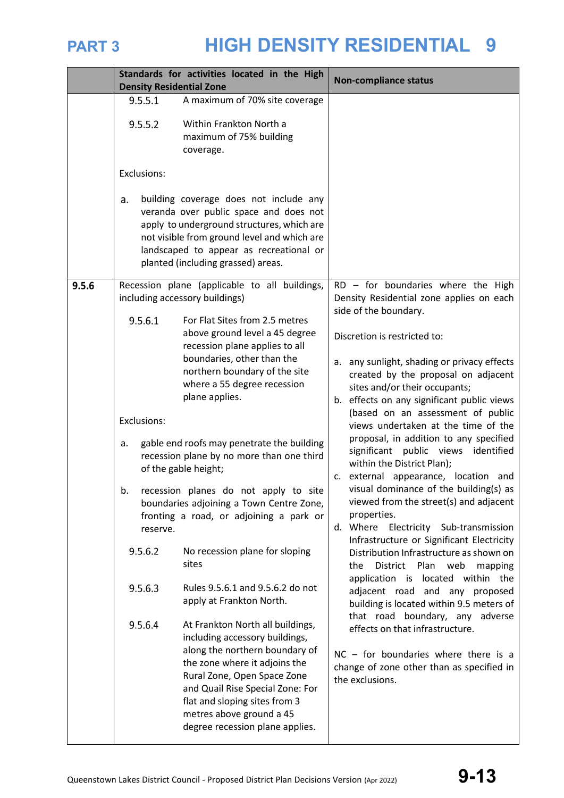|       | <b>Density Residential Zone</b>                                                 | Standards for activities located in the High                                                                                                                                                                                                                                                                                                                                                                                                                                                                                                                                                                                                                                                                                                                                                                                                                                                                                                                                    | <b>Non-compliance status</b>                                                                                                                                                                                                                                                                                                                                                                                                                                                                                                                                                                                                                                                                                                                                                                                                                                                                                                                                                                                                                                                                                                  |
|-------|---------------------------------------------------------------------------------|---------------------------------------------------------------------------------------------------------------------------------------------------------------------------------------------------------------------------------------------------------------------------------------------------------------------------------------------------------------------------------------------------------------------------------------------------------------------------------------------------------------------------------------------------------------------------------------------------------------------------------------------------------------------------------------------------------------------------------------------------------------------------------------------------------------------------------------------------------------------------------------------------------------------------------------------------------------------------------|-------------------------------------------------------------------------------------------------------------------------------------------------------------------------------------------------------------------------------------------------------------------------------------------------------------------------------------------------------------------------------------------------------------------------------------------------------------------------------------------------------------------------------------------------------------------------------------------------------------------------------------------------------------------------------------------------------------------------------------------------------------------------------------------------------------------------------------------------------------------------------------------------------------------------------------------------------------------------------------------------------------------------------------------------------------------------------------------------------------------------------|
|       | 9.5.5.1<br>9.5.5.2                                                              | A maximum of 70% site coverage<br>Within Frankton North a<br>maximum of 75% building<br>coverage.                                                                                                                                                                                                                                                                                                                                                                                                                                                                                                                                                                                                                                                                                                                                                                                                                                                                               |                                                                                                                                                                                                                                                                                                                                                                                                                                                                                                                                                                                                                                                                                                                                                                                                                                                                                                                                                                                                                                                                                                                               |
|       | Exclusions:<br>a.                                                               | building coverage does not include any<br>veranda over public space and does not<br>apply to underground structures, which are<br>not visible from ground level and which are<br>landscaped to appear as recreational or<br>planted (including grassed) areas.                                                                                                                                                                                                                                                                                                                                                                                                                                                                                                                                                                                                                                                                                                                  |                                                                                                                                                                                                                                                                                                                                                                                                                                                                                                                                                                                                                                                                                                                                                                                                                                                                                                                                                                                                                                                                                                                               |
| 9.5.6 | 9.5.6.1<br>Exclusions:<br>a.<br>b.<br>reserve.<br>9.5.6.2<br>9.5.6.3<br>9.5.6.4 | Recession plane (applicable to all buildings,<br>including accessory buildings)<br>For Flat Sites from 2.5 metres<br>above ground level a 45 degree<br>recession plane applies to all<br>boundaries, other than the<br>northern boundary of the site<br>where a 55 degree recession<br>plane applies.<br>gable end roofs may penetrate the building<br>recession plane by no more than one third<br>of the gable height;<br>recession planes do not apply to site<br>boundaries adjoining a Town Centre Zone,<br>fronting a road, or adjoining a park or<br>No recession plane for sloping<br>sites<br>Rules 9.5.6.1 and 9.5.6.2 do not<br>apply at Frankton North.<br>At Frankton North all buildings,<br>including accessory buildings,<br>along the northern boundary of<br>the zone where it adjoins the<br>Rural Zone, Open Space Zone<br>and Quail Rise Special Zone: For<br>flat and sloping sites from 3<br>metres above ground a 45<br>degree recession plane applies. | RD - for boundaries where the High<br>Density Residential zone applies on each<br>side of the boundary.<br>Discretion is restricted to:<br>a. any sunlight, shading or privacy effects<br>created by the proposal on adjacent<br>sites and/or their occupants;<br>b. effects on any significant public views<br>(based on an assessment of public<br>views undertaken at the time of the<br>proposal, in addition to any specified<br>significant public views identified<br>within the District Plan);<br>c. external appearance, location and<br>visual dominance of the building(s) as<br>viewed from the street(s) and adjacent<br>properties.<br>d. Where Electricity Sub-transmission<br>Infrastructure or Significant Electricity<br>Distribution Infrastructure as shown on<br>District Plan web<br>the<br>mapping<br>application is located within the<br>adjacent road and any proposed<br>building is located within 9.5 meters of<br>that road boundary, any adverse<br>effects on that infrastructure.<br>$NC - for boundaries where there is a$<br>change of zone other than as specified in<br>the exclusions. |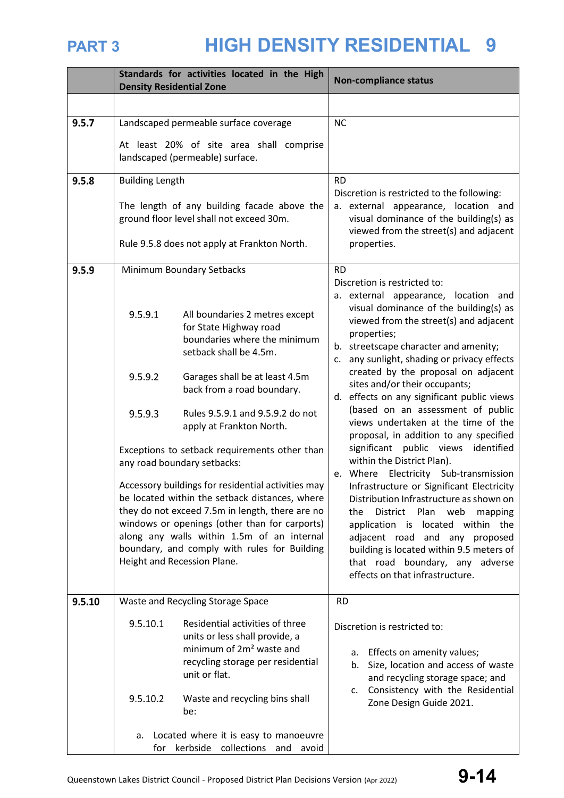|        | Standards for activities located in the High<br><b>Density Residential Zone</b>                                                                                                                                                                                                                                                                                                                                                                                                                                                                                                                                                                                                                                                           | <b>Non-compliance status</b>                                                                                                                                                                                                                                                                                                                                                                                                                                                                                                                                                                                                                                                                                                                                                                                                                                                                                                                                         |  |
|--------|-------------------------------------------------------------------------------------------------------------------------------------------------------------------------------------------------------------------------------------------------------------------------------------------------------------------------------------------------------------------------------------------------------------------------------------------------------------------------------------------------------------------------------------------------------------------------------------------------------------------------------------------------------------------------------------------------------------------------------------------|----------------------------------------------------------------------------------------------------------------------------------------------------------------------------------------------------------------------------------------------------------------------------------------------------------------------------------------------------------------------------------------------------------------------------------------------------------------------------------------------------------------------------------------------------------------------------------------------------------------------------------------------------------------------------------------------------------------------------------------------------------------------------------------------------------------------------------------------------------------------------------------------------------------------------------------------------------------------|--|
|        |                                                                                                                                                                                                                                                                                                                                                                                                                                                                                                                                                                                                                                                                                                                                           |                                                                                                                                                                                                                                                                                                                                                                                                                                                                                                                                                                                                                                                                                                                                                                                                                                                                                                                                                                      |  |
| 9.5.7  | Landscaped permeable surface coverage                                                                                                                                                                                                                                                                                                                                                                                                                                                                                                                                                                                                                                                                                                     | <b>NC</b>                                                                                                                                                                                                                                                                                                                                                                                                                                                                                                                                                                                                                                                                                                                                                                                                                                                                                                                                                            |  |
|        | At least 20% of site area shall comprise<br>landscaped (permeable) surface.                                                                                                                                                                                                                                                                                                                                                                                                                                                                                                                                                                                                                                                               |                                                                                                                                                                                                                                                                                                                                                                                                                                                                                                                                                                                                                                                                                                                                                                                                                                                                                                                                                                      |  |
| 9.5.8  | <b>Building Length</b><br>The length of any building facade above the<br>ground floor level shall not exceed 30m.<br>Rule 9.5.8 does not apply at Frankton North.                                                                                                                                                                                                                                                                                                                                                                                                                                                                                                                                                                         | <b>RD</b><br>Discretion is restricted to the following:<br>a. external appearance, location and<br>visual dominance of the building(s) as<br>viewed from the street(s) and adjacent<br>properties.                                                                                                                                                                                                                                                                                                                                                                                                                                                                                                                                                                                                                                                                                                                                                                   |  |
| 9.5.9  | Minimum Boundary Setbacks<br>9.5.9.1<br>All boundaries 2 metres except<br>for State Highway road<br>boundaries where the minimum<br>setback shall be 4.5m.<br>9.5.9.2<br>Garages shall be at least 4.5m<br>back from a road boundary.<br>9.5.9.3<br>Rules 9.5.9.1 and 9.5.9.2 do not<br>apply at Frankton North.<br>Exceptions to setback requirements other than<br>any road boundary setbacks:<br>Accessory buildings for residential activities may<br>be located within the setback distances, where<br>they do not exceed 7.5m in length, there are no<br>windows or openings (other than for carports)<br>along any walls within 1.5m of an internal<br>boundary, and comply with rules for Building<br>Height and Recession Plane. | <b>RD</b><br>Discretion is restricted to:<br>a. external appearance, location and<br>visual dominance of the building(s) as<br>viewed from the street(s) and adjacent<br>properties;<br>b. streetscape character and amenity;<br>c. any sunlight, shading or privacy effects<br>created by the proposal on adjacent<br>sites and/or their occupants;<br>d. effects on any significant public views<br>(based on an assessment of public<br>views undertaken at the time of the<br>proposal, in addition to any specified<br>significant public views<br>identified<br>within the District Plan).<br>e. Where Electricity Sub-transmission<br>Infrastructure or Significant Electricity<br>Distribution Infrastructure as shown on<br>the<br>District<br>Plan web<br>mapping<br>application is located within the<br>adjacent road and any proposed<br>building is located within 9.5 meters of<br>that road boundary, any adverse<br>effects on that infrastructure. |  |
| 9.5.10 | Waste and Recycling Storage Space                                                                                                                                                                                                                                                                                                                                                                                                                                                                                                                                                                                                                                                                                                         | <b>RD</b>                                                                                                                                                                                                                                                                                                                                                                                                                                                                                                                                                                                                                                                                                                                                                                                                                                                                                                                                                            |  |
|        | 9.5.10.1<br>Residential activities of three<br>units or less shall provide, a<br>minimum of 2m <sup>2</sup> waste and<br>recycling storage per residential<br>unit or flat.<br>9.5.10.2<br>Waste and recycling bins shall<br>be:                                                                                                                                                                                                                                                                                                                                                                                                                                                                                                          | Discretion is restricted to:<br>Effects on amenity values;<br>а.<br>Size, location and access of waste<br>b.<br>and recycling storage space; and<br>Consistency with the Residential<br>c.<br>Zone Design Guide 2021.                                                                                                                                                                                                                                                                                                                                                                                                                                                                                                                                                                                                                                                                                                                                                |  |
|        | Located where it is easy to manoeuvre<br>a.<br>for kerbside collections and avoid                                                                                                                                                                                                                                                                                                                                                                                                                                                                                                                                                                                                                                                         |                                                                                                                                                                                                                                                                                                                                                                                                                                                                                                                                                                                                                                                                                                                                                                                                                                                                                                                                                                      |  |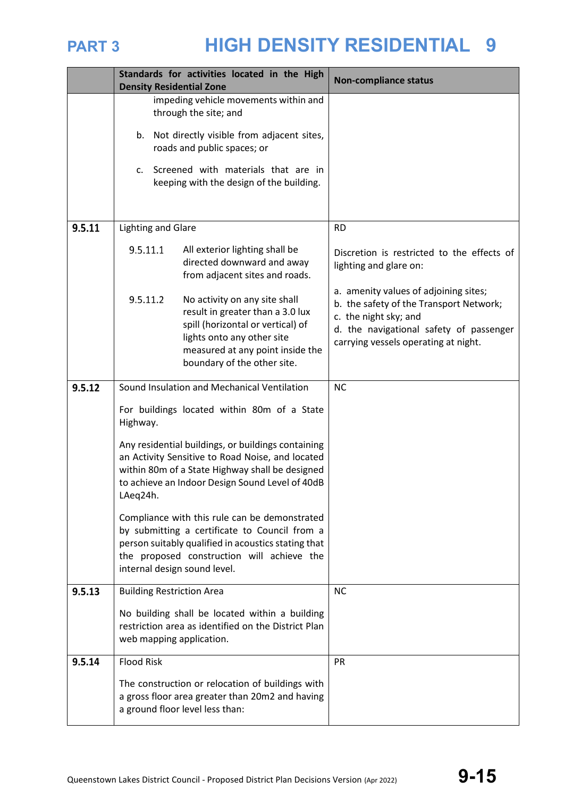

|        | Standards for activities located in the High<br><b>Density Residential Zone</b>                                                                                                                                                     | <b>Non-compliance status</b>                                                                                                                                                                 |  |
|--------|-------------------------------------------------------------------------------------------------------------------------------------------------------------------------------------------------------------------------------------|----------------------------------------------------------------------------------------------------------------------------------------------------------------------------------------------|--|
|        | impeding vehicle movements within and<br>through the site; and                                                                                                                                                                      |                                                                                                                                                                                              |  |
|        | Not directly visible from adjacent sites,<br>b.<br>roads and public spaces; or                                                                                                                                                      |                                                                                                                                                                                              |  |
|        | Screened with materials that are in<br>$\mathsf{C}$ .<br>keeping with the design of the building.                                                                                                                                   |                                                                                                                                                                                              |  |
|        |                                                                                                                                                                                                                                     |                                                                                                                                                                                              |  |
| 9.5.11 | <b>Lighting and Glare</b>                                                                                                                                                                                                           | <b>RD</b>                                                                                                                                                                                    |  |
|        | 9.5.11.1<br>All exterior lighting shall be<br>directed downward and away<br>from adjacent sites and roads.                                                                                                                          | Discretion is restricted to the effects of<br>lighting and glare on:                                                                                                                         |  |
|        | 9.5.11.2<br>No activity on any site shall<br>result in greater than a 3.0 lux<br>spill (horizontal or vertical) of<br>lights onto any other site<br>measured at any point inside the<br>boundary of the other site.                 | a. amenity values of adjoining sites;<br>b. the safety of the Transport Network;<br>c. the night sky; and<br>d. the navigational safety of passenger<br>carrying vessels operating at night. |  |
| 9.5.12 | Sound Insulation and Mechanical Ventilation                                                                                                                                                                                         | <b>NC</b>                                                                                                                                                                                    |  |
|        | For buildings located within 80m of a State<br>Highway.                                                                                                                                                                             |                                                                                                                                                                                              |  |
|        | Any residential buildings, or buildings containing<br>an Activity Sensitive to Road Noise, and located<br>within 80m of a State Highway shall be designed<br>to achieve an Indoor Design Sound Level of 40dB<br>LAeq24h.            |                                                                                                                                                                                              |  |
|        | Compliance with this rule can be demonstrated<br>by submitting a certificate to Council from a<br>person suitably qualified in acoustics stating that<br>the proposed construction will achieve the<br>internal design sound level. |                                                                                                                                                                                              |  |
| 9.5.13 | <b>Building Restriction Area</b>                                                                                                                                                                                                    | <b>NC</b>                                                                                                                                                                                    |  |
|        | No building shall be located within a building<br>restriction area as identified on the District Plan<br>web mapping application.                                                                                                   |                                                                                                                                                                                              |  |
| 9.5.14 | <b>Flood Risk</b>                                                                                                                                                                                                                   | <b>PR</b>                                                                                                                                                                                    |  |
|        | The construction or relocation of buildings with<br>a gross floor area greater than 20m2 and having<br>a ground floor level less than:                                                                                              |                                                                                                                                                                                              |  |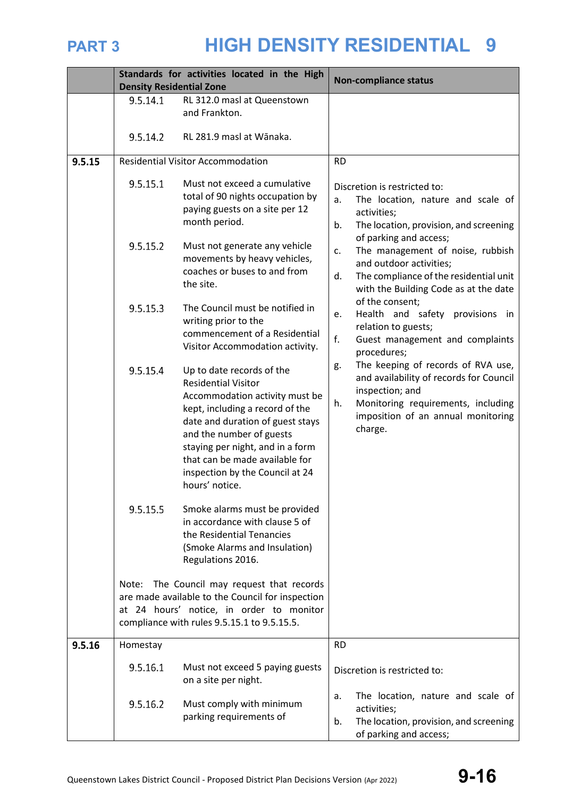|        |                                                          | Standards for activities located in the High                                                                                                                                                                                                                                                                                                                                                                                                                                                                                                                                                                                                                                                                                                                                                                                                                                                    | <b>Non-compliance status</b>                                                                                                                                                                                                                                                                                                                                                                                                                                                                                                                                                                                                                                                     |  |
|--------|----------------------------------------------------------|-------------------------------------------------------------------------------------------------------------------------------------------------------------------------------------------------------------------------------------------------------------------------------------------------------------------------------------------------------------------------------------------------------------------------------------------------------------------------------------------------------------------------------------------------------------------------------------------------------------------------------------------------------------------------------------------------------------------------------------------------------------------------------------------------------------------------------------------------------------------------------------------------|----------------------------------------------------------------------------------------------------------------------------------------------------------------------------------------------------------------------------------------------------------------------------------------------------------------------------------------------------------------------------------------------------------------------------------------------------------------------------------------------------------------------------------------------------------------------------------------------------------------------------------------------------------------------------------|--|
|        | <b>Density Residential Zone</b><br>9.5.14.1              | RL 312.0 masl at Queenstown                                                                                                                                                                                                                                                                                                                                                                                                                                                                                                                                                                                                                                                                                                                                                                                                                                                                     |                                                                                                                                                                                                                                                                                                                                                                                                                                                                                                                                                                                                                                                                                  |  |
|        |                                                          | and Frankton.                                                                                                                                                                                                                                                                                                                                                                                                                                                                                                                                                                                                                                                                                                                                                                                                                                                                                   |                                                                                                                                                                                                                                                                                                                                                                                                                                                                                                                                                                                                                                                                                  |  |
|        |                                                          |                                                                                                                                                                                                                                                                                                                                                                                                                                                                                                                                                                                                                                                                                                                                                                                                                                                                                                 |                                                                                                                                                                                                                                                                                                                                                                                                                                                                                                                                                                                                                                                                                  |  |
|        | 9.5.14.2                                                 | RL 281.9 masl at Wānaka.                                                                                                                                                                                                                                                                                                                                                                                                                                                                                                                                                                                                                                                                                                                                                                                                                                                                        |                                                                                                                                                                                                                                                                                                                                                                                                                                                                                                                                                                                                                                                                                  |  |
| 9.5.15 | <b>Residential Visitor Accommodation</b>                 |                                                                                                                                                                                                                                                                                                                                                                                                                                                                                                                                                                                                                                                                                                                                                                                                                                                                                                 | <b>RD</b>                                                                                                                                                                                                                                                                                                                                                                                                                                                                                                                                                                                                                                                                        |  |
|        | 9.5.15.1<br>9.5.15.2<br>9.5.15.3<br>9.5.15.4<br>9.5.15.5 | Must not exceed a cumulative<br>total of 90 nights occupation by<br>paying guests on a site per 12<br>month period.<br>Must not generate any vehicle<br>movements by heavy vehicles,<br>coaches or buses to and from<br>the site.<br>The Council must be notified in<br>writing prior to the<br>commencement of a Residential<br>Visitor Accommodation activity.<br>Up to date records of the<br><b>Residential Visitor</b><br>Accommodation activity must be<br>kept, including a record of the<br>date and duration of guest stays<br>and the number of guests<br>staying per night, and in a form<br>that can be made available for<br>inspection by the Council at 24<br>hours' notice.<br>Smoke alarms must be provided<br>in accordance with clause 5 of<br>the Residential Tenancies<br>(Smoke Alarms and Insulation)<br>Regulations 2016.<br>Note: The Council may request that records | Discretion is restricted to:<br>The location, nature and scale of<br>a.<br>activities;<br>The location, provision, and screening<br>b.<br>of parking and access;<br>The management of noise, rubbish<br>c.<br>and outdoor activities;<br>The compliance of the residential unit<br>d.<br>with the Building Code as at the date<br>of the consent;<br>Health and safety provisions in<br>e.<br>relation to guests;<br>f.<br>Guest management and complaints<br>procedures;<br>The keeping of records of RVA use,<br>g.<br>and availability of records for Council<br>inspection; and<br>Monitoring requirements, including<br>h.<br>imposition of an annual monitoring<br>charge. |  |
|        |                                                          | are made available to the Council for inspection<br>at 24 hours' notice, in order to monitor<br>compliance with rules 9.5.15.1 to 9.5.15.5.                                                                                                                                                                                                                                                                                                                                                                                                                                                                                                                                                                                                                                                                                                                                                     |                                                                                                                                                                                                                                                                                                                                                                                                                                                                                                                                                                                                                                                                                  |  |
| 9.5.16 | Homestay                                                 |                                                                                                                                                                                                                                                                                                                                                                                                                                                                                                                                                                                                                                                                                                                                                                                                                                                                                                 | <b>RD</b>                                                                                                                                                                                                                                                                                                                                                                                                                                                                                                                                                                                                                                                                        |  |
|        | 9.5.16.1                                                 | Must not exceed 5 paying guests<br>on a site per night.                                                                                                                                                                                                                                                                                                                                                                                                                                                                                                                                                                                                                                                                                                                                                                                                                                         | Discretion is restricted to:                                                                                                                                                                                                                                                                                                                                                                                                                                                                                                                                                                                                                                                     |  |
|        | 9.5.16.2                                                 | Must comply with minimum<br>parking requirements of                                                                                                                                                                                                                                                                                                                                                                                                                                                                                                                                                                                                                                                                                                                                                                                                                                             | The location, nature and scale of<br>a.<br>activities;<br>The location, provision, and screening<br>b.<br>of parking and access;                                                                                                                                                                                                                                                                                                                                                                                                                                                                                                                                                 |  |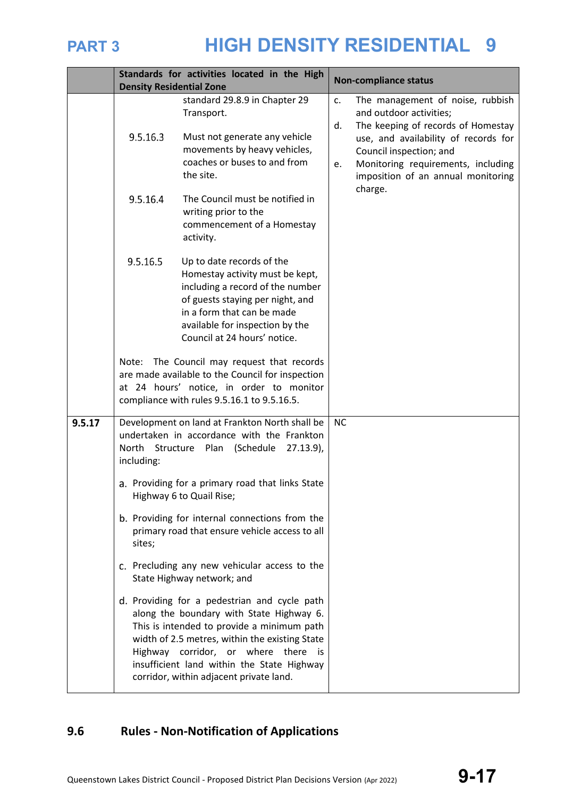

|        | Standards for activities located in the High                                                                                                           |                                                                                                                                                                                                                                                                                                                          |                | <b>Non-compliance status</b>                                                                                                                                                      |  |
|--------|--------------------------------------------------------------------------------------------------------------------------------------------------------|--------------------------------------------------------------------------------------------------------------------------------------------------------------------------------------------------------------------------------------------------------------------------------------------------------------------------|----------------|-----------------------------------------------------------------------------------------------------------------------------------------------------------------------------------|--|
|        | <b>Density Residential Zone</b>                                                                                                                        |                                                                                                                                                                                                                                                                                                                          |                |                                                                                                                                                                                   |  |
|        |                                                                                                                                                        | standard 29.8.9 in Chapter 29<br>Transport.                                                                                                                                                                                                                                                                              | $\mathsf{C}$ . | The management of noise, rubbish<br>and outdoor activities;                                                                                                                       |  |
|        | 9.5.16.3                                                                                                                                               | Must not generate any vehicle<br>movements by heavy vehicles,<br>coaches or buses to and from<br>the site.                                                                                                                                                                                                               | d.<br>e.       | The keeping of records of Homestay<br>use, and availability of records for<br>Council inspection; and<br>Monitoring requirements, including<br>imposition of an annual monitoring |  |
|        | 9.5.16.4                                                                                                                                               | The Council must be notified in<br>writing prior to the<br>commencement of a Homestay<br>activity.                                                                                                                                                                                                                       |                | charge.                                                                                                                                                                           |  |
|        | 9.5.16.5                                                                                                                                               | Up to date records of the<br>Homestay activity must be kept,<br>including a record of the number<br>of guests staying per night, and<br>in a form that can be made<br>available for inspection by the<br>Council at 24 hours' notice.                                                                                    |                |                                                                                                                                                                                   |  |
|        |                                                                                                                                                        | Note: The Council may request that records<br>are made available to the Council for inspection<br>at 24 hours' notice, in order to monitor<br>compliance with rules 9.5.16.1 to 9.5.16.5.                                                                                                                                |                |                                                                                                                                                                                   |  |
| 9.5.17 | Development on land at Frankton North shall be<br>undertaken in accordance with the Frankton<br>North Structure Plan (Schedule 27.13.9),<br>including: |                                                                                                                                                                                                                                                                                                                          |                |                                                                                                                                                                                   |  |
|        | a. Providing for a primary road that links State<br>Highway 6 to Quail Rise;                                                                           |                                                                                                                                                                                                                                                                                                                          |                |                                                                                                                                                                                   |  |
|        | b. Providing for internal connections from the<br>primary road that ensure vehicle access to all<br>sites;                                             |                                                                                                                                                                                                                                                                                                                          |                |                                                                                                                                                                                   |  |
|        |                                                                                                                                                        | c. Precluding any new vehicular access to the<br>State Highway network; and                                                                                                                                                                                                                                              |                |                                                                                                                                                                                   |  |
|        |                                                                                                                                                        | d. Providing for a pedestrian and cycle path<br>along the boundary with State Highway 6.<br>This is intended to provide a minimum path<br>width of 2.5 metres, within the existing State<br>Highway corridor, or where there is<br>insufficient land within the State Highway<br>corridor, within adjacent private land. |                |                                                                                                                                                                                   |  |

## **9.6 Rules - Non-Notification of Applications**